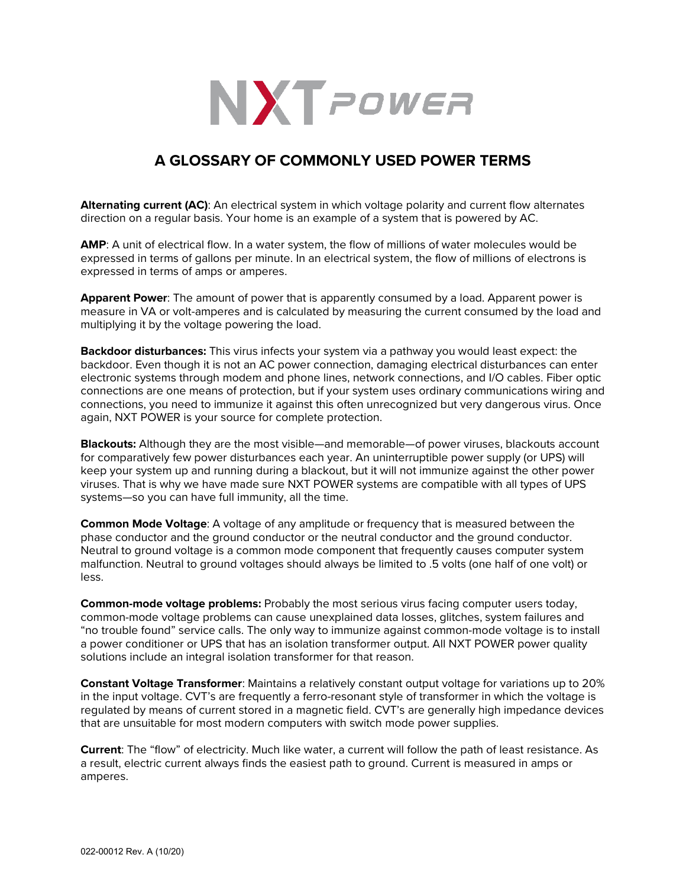

## **A GLOSSARY OF COMMONLY USED POWER TERMS**

**Alternating current (AC)**: An electrical system in which voltage polarity and current flow alternates direction on a regular basis. Your home is an example of a system that is powered by AC.

**AMP**: A unit of electrical flow. In a water system, the flow of millions of water molecules would be expressed in terms of gallons per minute. In an electrical system, the flow of millions of electrons is expressed in terms of amps or amperes.

**Apparent Power**: The amount of power that is apparently consumed by a load. Apparent power is measure in VA or volt-amperes and is calculated by measuring the current consumed by the load and multiplying it by the voltage powering the load.

**Backdoor disturbances:** This virus infects your system via a pathway you would least expect: the backdoor. Even though it is not an AC power connection, damaging electrical disturbances can enter electronic systems through modem and phone lines, network connections, and I/O cables. Fiber optic connections are one means of protection, but if your system uses ordinary communications wiring and connections, you need to immunize it against this often unrecognized but very dangerous virus. Once again, NXT POWER is your source for complete protection.

**Blackouts:** Although they are the most visible—and memorable—of power viruses, blackouts account for comparatively few power disturbances each year. An uninterruptible power supply (or UPS) will keep your system up and running during a blackout, but it will not immunize against the other power viruses. That is why we have made sure NXT POWER systems are compatible with all types of UPS systems—so you can have full immunity, all the time.

**Common Mode Voltage**: A voltage of any amplitude or frequency that is measured between the phase conductor and the ground conductor or the neutral conductor and the ground conductor. Neutral to ground voltage is a common mode component that frequently causes computer system malfunction. Neutral to ground voltages should always be limited to .5 volts (one half of one volt) or less.

**Common-mode voltage problems:** Probably the most serious virus facing computer users today, common-mode voltage problems can cause unexplained data losses, glitches, system failures and "no trouble found" service calls. The only way to immunize against common-mode voltage is to install a power conditioner or UPS that has an isolation transformer output. All NXT POWER power quality solutions include an integral isolation transformer for that reason.

**Constant Voltage Transformer**: Maintains a relatively constant output voltage for variations up to 20% in the input voltage. CVT's are frequently a ferro-resonant style of transformer in which the voltage is regulated by means of current stored in a magnetic field. CVT's are generally high impedance devices that are unsuitable for most modern computers with switch mode power supplies.

**Current**: The "flow" of electricity. Much like water, a current will follow the path of least resistance. As a result, electric current always finds the easiest path to ground. Current is measured in amps or amperes.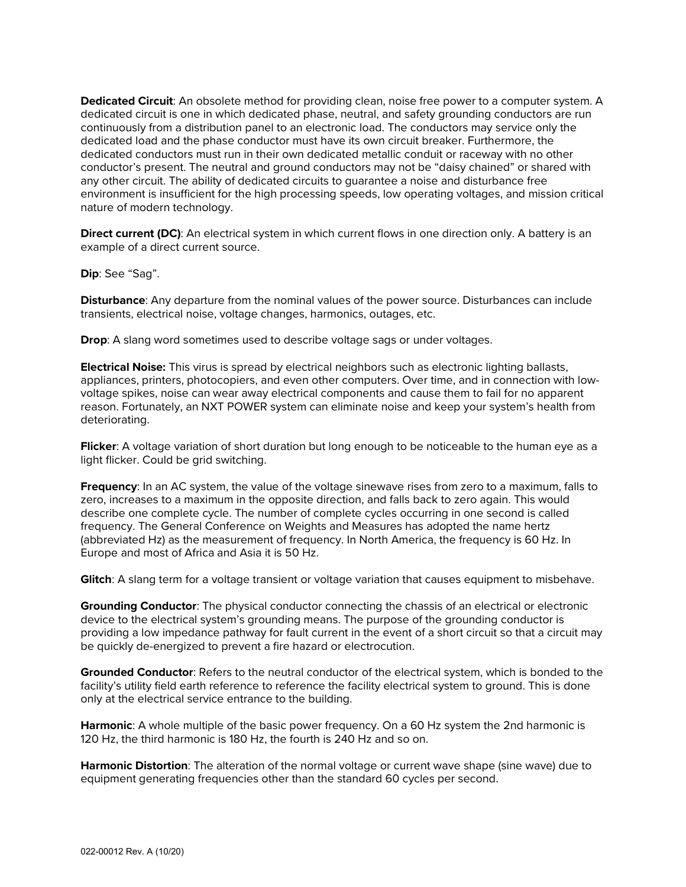**Dedicated Circuit**: An obsolete method for providing clean, noise free power to a computer system. A dedicated circuit is one in which dedicated phase, neutral, and safety grounding conductors are run continuously from a distribution panel to an electronic load. The conductors may service only the dedicated load and the phase conductor must have its own circuit breaker. Furthermore, the dedicated conductors must run in their own dedicated metallic conduit or raceway with no other conductor's present. The neutral and ground conductors may not be "daisy chained" or shared with any other circuit. The ability of dedicated circuits to guarantee a noise and disturbance free environment is insufficient for the high processing speeds, low operating voltages, and mission critical nature of modern technology.

**Direct current (DC)**: An electrical system in which current flows in one direction only. A battery is an example of a direct current source.

**Dip**: See "Sag".

**Disturbance**: Any departure from the nominal values of the power source. Disturbances can include transients, electrical noise, voltage changes, harmonics, outages, etc.

**Drop**: A slang word sometimes used to describe voltage sags or under voltages.

**Electrical Noise:** This virus is spread by electrical neighbors such as electronic lighting ballasts, appliances, printers, photocopiers, and even other computers. Over time, and in connection with lowvoltage spikes, noise can wear away electrical components and cause them to fail for no apparent reason. Fortunately, an NXT POWER system can eliminate noise and keep your system's health from deteriorating.

**Flicker**: A voltage variation of short duration but long enough to be noticeable to the human eye as a light flicker. Could be grid switching.

**Frequency**: In an AC system, the value of the voltage sinewave rises from zero to a maximum, falls to zero, increases to a maximum in the opposite direction, and falls back to zero again. This would describe one complete cycle. The number of complete cycles occurring in one second is called frequency. The General Conference on Weights and Measures has adopted the name hertz (abbreviated Hz) as the measurement of frequency. In North America, the frequency is 60 Hz. In Europe and most of Africa and Asia it is 50 Hz.

**Glitch**: A slang term for a voltage transient or voltage variation that causes equipment to misbehave.

**Grounding Conductor**: The physical conductor connecting the chassis of an electrical or electronic device to the electrical system's grounding means. The purpose of the grounding conductor is providing a low impedance pathway for fault current in the event of a short circuit so that a circuit may be quickly de-energized to prevent a fire hazard or electrocution.

**Grounded Conductor**: Refers to the neutral conductor of the electrical system, which is bonded to the facility's utility field earth reference to reference the facility electrical system to ground. This is done only at the electrical service entrance to the building.

**Harmonic**: A whole multiple of the basic power frequency. On a 60 Hz system the 2nd harmonic is 120 Hz, the third harmonic is 180 Hz, the fourth is 240 Hz and so on.

**Harmonic Distortion**: The alteration of the normal voltage or current wave shape (sine wave) due to equipment generating frequencies other than the standard 60 cycles per second.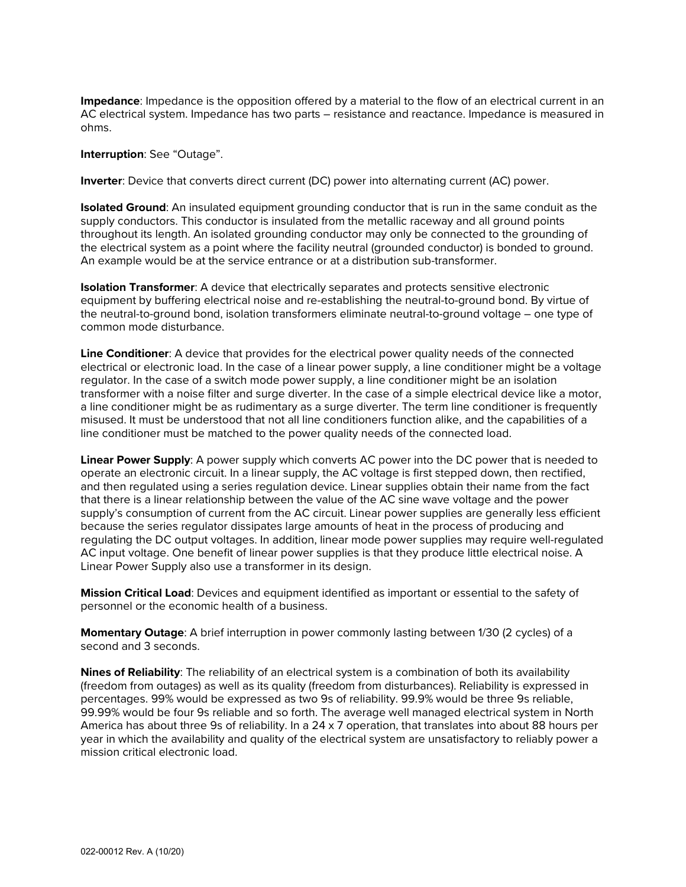**Impedance**: Impedance is the opposition offered by a material to the flow of an electrical current in an AC electrical system. Impedance has two parts – resistance and reactance. Impedance is measured in ohms.

**Interruption**: See "Outage".

**Inverter**: Device that converts direct current (DC) power into alternating current (AC) power.

**Isolated Ground**: An insulated equipment grounding conductor that is run in the same conduit as the supply conductors. This conductor is insulated from the metallic raceway and all ground points throughout its length. An isolated grounding conductor may only be connected to the grounding of the electrical system as a point where the facility neutral (grounded conductor) is bonded to ground. An example would be at the service entrance or at a distribution sub-transformer.

**Isolation Transformer**: A device that electrically separates and protects sensitive electronic equipment by buffering electrical noise and re-establishing the neutral-to-ground bond. By virtue of the neutral-to-ground bond, isolation transformers eliminate neutral-to-ground voltage – one type of common mode disturbance.

**Line Conditioner**: A device that provides for the electrical power quality needs of the connected electrical or electronic load. In the case of a linear power supply, a line conditioner might be a voltage regulator. In the case of a switch mode power supply, a line conditioner might be an isolation transformer with a noise filter and surge diverter. In the case of a simple electrical device like a motor, a line conditioner might be as rudimentary as a surge diverter. The term line conditioner is frequently misused. It must be understood that not all line conditioners function alike, and the capabilities of a line conditioner must be matched to the power quality needs of the connected load.

**Linear Power Supply**: A power supply which converts AC power into the DC power that is needed to operate an electronic circuit. In a linear supply, the AC voltage is first stepped down, then rectified, and then regulated using a series regulation device. Linear supplies obtain their name from the fact that there is a linear relationship between the value of the AC sine wave voltage and the power supply's consumption of current from the AC circuit. Linear power supplies are generally less efficient because the series regulator dissipates large amounts of heat in the process of producing and regulating the DC output voltages. In addition, linear mode power supplies may require well-regulated AC input voltage. One benefit of linear power supplies is that they produce little electrical noise. A Linear Power Supply also use a transformer in its design.

**Mission Critical Load**: Devices and equipment identified as important or essential to the safety of personnel or the economic health of a business.

**Momentary Outage**: A brief interruption in power commonly lasting between 1/30 (2 cycles) of a second and 3 seconds.

**Nines of Reliability**: The reliability of an electrical system is a combination of both its availability (freedom from outages) as well as its quality (freedom from disturbances). Reliability is expressed in percentages. 99% would be expressed as two 9s of reliability. 99.9% would be three 9s reliable, 99.99% would be four 9s reliable and so forth. The average well managed electrical system in North America has about three 9s of reliability. In a 24 x 7 operation, that translates into about 88 hours per year in which the availability and quality of the electrical system are unsatisfactory to reliably power a mission critical electronic load.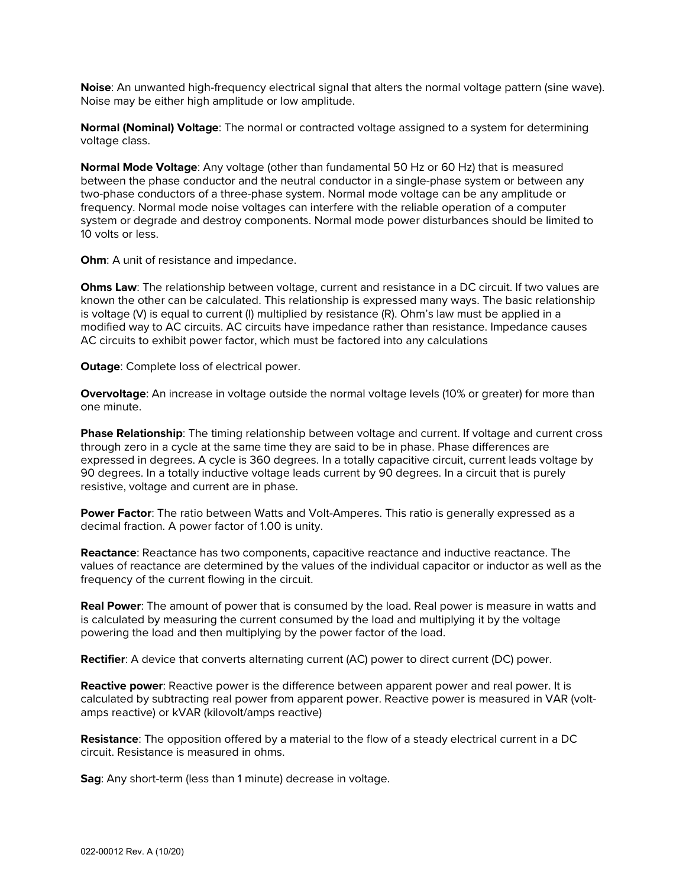**Noise**: An unwanted high-frequency electrical signal that alters the normal voltage pattern (sine wave). Noise may be either high amplitude or low amplitude.

**Normal (Nominal) Voltage**: The normal or contracted voltage assigned to a system for determining voltage class.

**Normal Mode Voltage**: Any voltage (other than fundamental 50 Hz or 60 Hz) that is measured between the phase conductor and the neutral conductor in a single-phase system or between any two-phase conductors of a three-phase system. Normal mode voltage can be any amplitude or frequency. Normal mode noise voltages can interfere with the reliable operation of a computer system or degrade and destroy components. Normal mode power disturbances should be limited to 10 volts or less.

**Ohm:** A unit of resistance and impedance.

**Ohms Law**: The relationship between voltage, current and resistance in a DC circuit. If two values are known the other can be calculated. This relationship is expressed many ways. The basic relationship is voltage (V) is equal to current (I) multiplied by resistance (R). Ohm's law must be applied in a modified way to AC circuits. AC circuits have impedance rather than resistance. Impedance causes AC circuits to exhibit power factor, which must be factored into any calculations

**Outage**: Complete loss of electrical power.

**Overvoltage**: An increase in voltage outside the normal voltage levels (10% or greater) for more than one minute.

**Phase Relationship**: The timing relationship between voltage and current. If voltage and current cross through zero in a cycle at the same time they are said to be in phase. Phase differences are expressed in degrees. A cycle is 360 degrees. In a totally capacitive circuit, current leads voltage by 90 degrees. In a totally inductive voltage leads current by 90 degrees. In a circuit that is purely resistive, voltage and current are in phase.

**Power Factor:** The ratio between Watts and Volt-Amperes. This ratio is generally expressed as a decimal fraction. A power factor of 1.00 is unity.

**Reactance**: Reactance has two components, capacitive reactance and inductive reactance. The values of reactance are determined by the values of the individual capacitor or inductor as well as the frequency of the current flowing in the circuit.

**Real Power**: The amount of power that is consumed by the load. Real power is measure in watts and is calculated by measuring the current consumed by the load and multiplying it by the voltage powering the load and then multiplying by the power factor of the load.

**Rectifier**: A device that converts alternating current (AC) power to direct current (DC) power.

**Reactive power**: Reactive power is the difference between apparent power and real power. It is calculated by subtracting real power from apparent power. Reactive power is measured in VAR (voltamps reactive) or kVAR (kilovolt/amps reactive)

**Resistance**: The opposition offered by a material to the flow of a steady electrical current in a DC circuit. Resistance is measured in ohms.

**Sag**: Any short-term (less than 1 minute) decrease in voltage.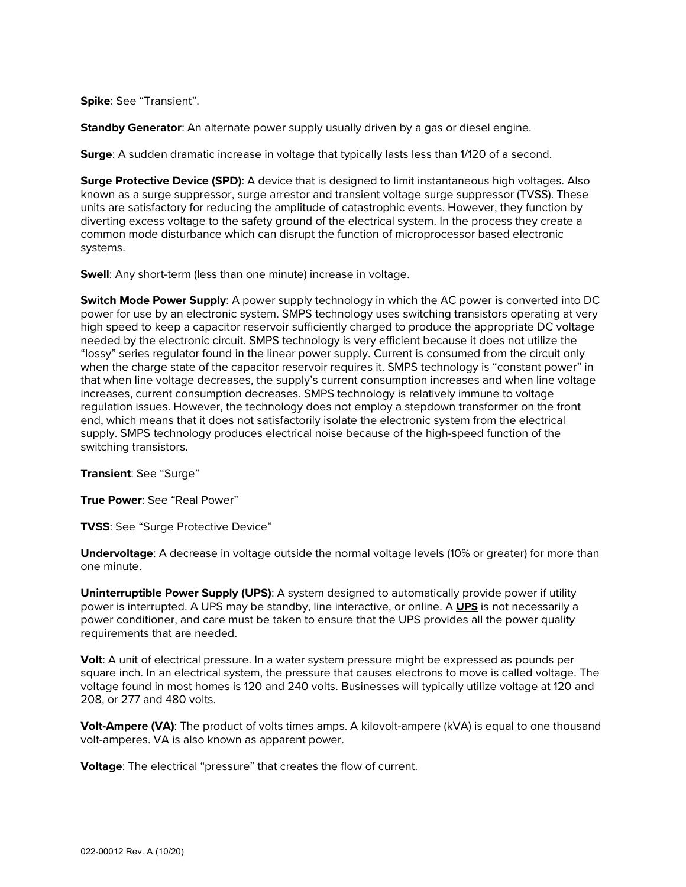**Spike**: See "Transient".

**Standby Generator**: An alternate power supply usually driven by a gas or diesel engine.

**Surge**: A sudden dramatic increase in voltage that typically lasts less than 1/120 of a second.

**Surge Protective Device (SPD)**: A device that is designed to limit instantaneous high voltages. Also known as a surge suppressor, surge arrestor and transient voltage surge suppressor (TVSS). These units are satisfactory for reducing the amplitude of catastrophic events. However, they function by diverting excess voltage to the safety ground of the electrical system. In the process they create a common mode disturbance which can disrupt the function of microprocessor based electronic systems.

**Swell:** Any short-term (less than one minute) increase in voltage.

**Switch Mode Power Supply**: A power supply technology in which the AC power is converted into DC power for use by an electronic system. SMPS technology uses switching transistors operating at very high speed to keep a capacitor reservoir sufficiently charged to produce the appropriate DC voltage needed by the electronic circuit. SMPS technology is very efficient because it does not utilize the "lossy" series regulator found in the linear power supply. Current is consumed from the circuit only when the charge state of the capacitor reservoir requires it. SMPS technology is "constant power" in that when line voltage decreases, the supply's current consumption increases and when line voltage increases, current consumption decreases. SMPS technology is relatively immune to voltage regulation issues. However, the technology does not employ a stepdown transformer on the front end, which means that it does not satisfactorily isolate the electronic system from the electrical supply. SMPS technology produces electrical noise because of the high-speed function of the switching transistors.

**Transient**: See "Surge"

**True Power**: See "Real Power"

**TVSS**: See "Surge Protective Device"

**Undervoltage**: A decrease in voltage outside the normal voltage levels (10% or greater) for more than one minute.

**Uninterruptible Power Supply (UPS)**: A system designed to automatically provide power if utility power is interrupted. A UPS may be standby, line interactive, or online. A **[UPS](https://powervar.com/power_supplies.php)** is not necessarily a power conditioner, and care must be taken to ensure that the UPS provides all the power quality requirements that are needed.

**Volt**: A unit of electrical pressure. In a water system pressure might be expressed as pounds per square inch. In an electrical system, the pressure that causes electrons to move is called voltage. The voltage found in most homes is 120 and 240 volts. Businesses will typically utilize voltage at 120 and 208, or 277 and 480 volts.

**Volt-Ampere (VA)**: The product of volts times amps. A kilovolt-ampere (kVA) is equal to one thousand volt-amperes. VA is also known as apparent power.

**Voltage**: The electrical "pressure" that creates the flow of current.